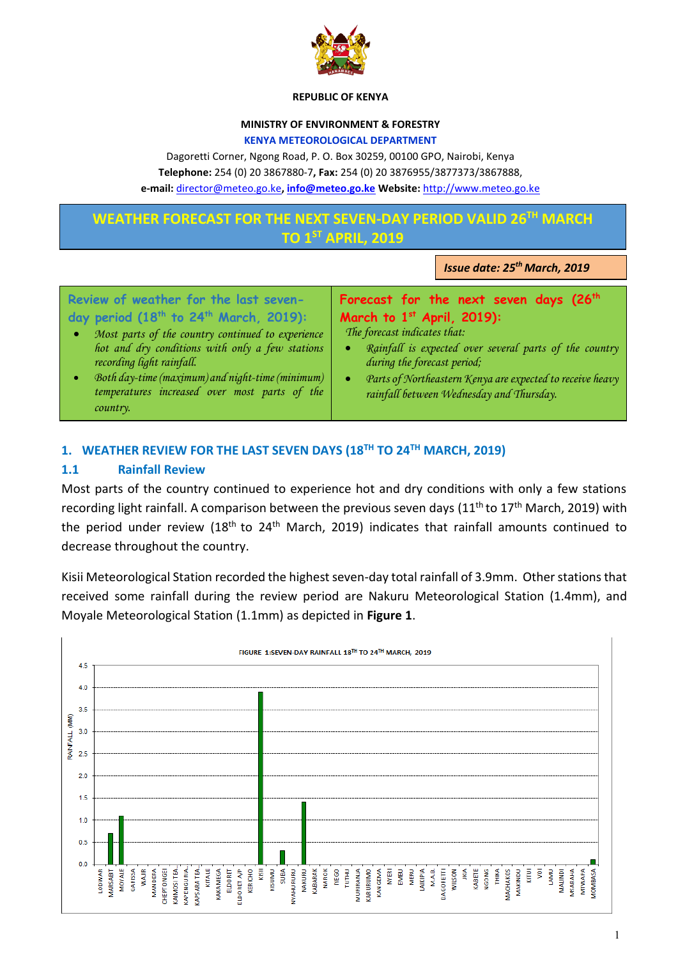

#### **REPUBLIC OF KENYA**

#### **MINISTRY OF ENVIRONMENT & FORESTRY**

#### **KENYA METEOROLOGICAL DEPARTMENT**

Dagoretti Corner, Ngong Road, P. O. Box 30259, 00100 GPO, Nairobi, Kenya **Telephone:** 254 (0) 20 3867880-7**, Fax:** 254 (0) 20 3876955/3877373/3867888,

**e-mail:** [director@meteo.go.ke](mailto:director@meteo.go.ke)**, [info@meteo.go.ke](mailto:info@meteo.go.ke) Website:** [http://www.meteo.go.ke](http://www.meteo.go.ke/)

# **WEATHER FORECAST FOR THE NEXT SEVEN-DAY PERIOD VALID 26TH MARCH TO 1ST APRIL, 2019**

*Issue date: 25th March, 2019*

| Review of weather for the last seven-                          | Forecast for the next seven days (26 <sup>th</sup>        |
|----------------------------------------------------------------|-----------------------------------------------------------|
| day period (18 <sup>th</sup> to 24 <sup>th</sup> March, 2019): | March to $1st$ April, 2019):                              |
| Most parts of the country continued to experience              | The forecast indicates that:                              |
| ۰                                                              | Rainfall is expected over several parts of the country    |
| hot and dry conditions with only a few stations                | $\bullet$                                                 |
| recording light rainfall.                                      | during the forecast period;                               |
| Both day-time (maximum) and night-time (minimum)               | Parts of Northeastern Kenya are expected to receive heavy |
| temperatures increased over most parts of the                  | $\bullet$                                                 |
| country.                                                       | rainfall between Wednesday and Thursday.                  |

# **1. WEATHER REVIEW FOR THE LAST SEVEN DAYS (18TH TO 24TH MARCH, 2019)**

## **1.1 Rainfall Review**

Most parts of the country continued to experience hot and dry conditions with only a few stations recording light rainfall. A comparison between the previous seven days (11<sup>th</sup> to 17<sup>th</sup> March, 2019) with the period under review (18<sup>th</sup> to 24<sup>th</sup> March, 2019) indicates that rainfall amounts continued to decrease throughout the country.

Kisii Meteorological Station recorded the highest seven-day total rainfall of 3.9mm. Other stations that received some rainfall during the review period are Nakuru Meteorological Station (1.4mm), and Moyale Meteorological Station (1.1mm) as depicted in **Figure 1**.

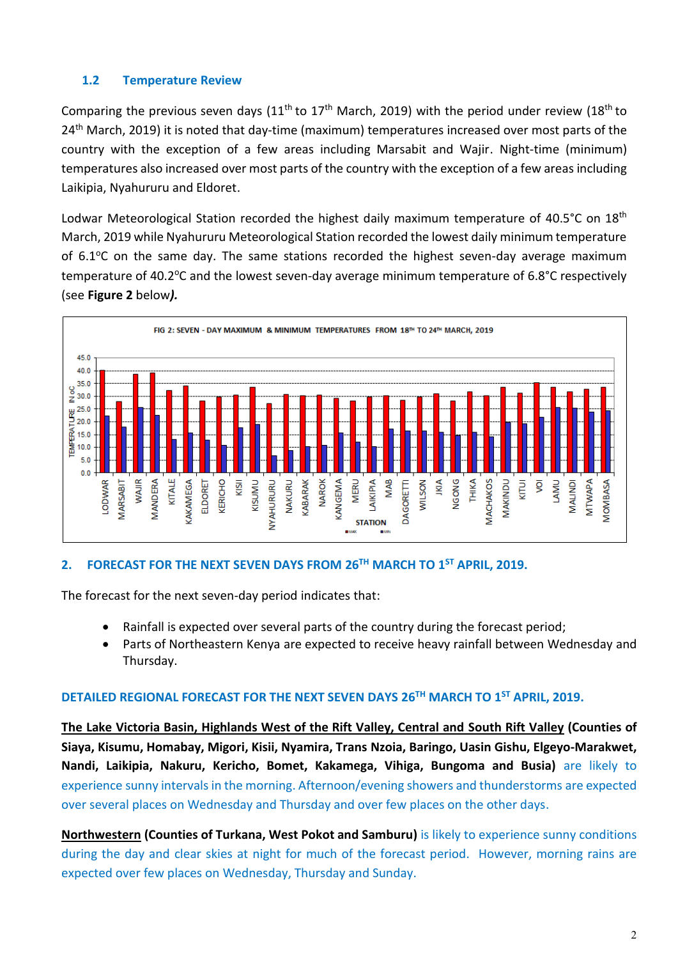## **1.2 Temperature Review**

Comparing the previous seven days (11<sup>th</sup> to 17<sup>th</sup> March, 2019) with the period under review (18<sup>th</sup> to 24<sup>th</sup> March, 2019) it is noted that day-time (maximum) temperatures increased over most parts of the country with the exception of a few areas including Marsabit and Wajir. Night-time (minimum) temperatures also increased over most parts of the country with the exception of a few areas including Laikipia, Nyahururu and Eldoret.

Lodwar Meteorological Station recorded the highest daily maximum temperature of 40.5°C on 18<sup>th</sup> March, 2019 while Nyahururu Meteorological Station recorded the lowest daily minimum temperature of  $6.1^{\circ}$ C on the same day. The same stations recorded the highest seven-day average maximum temperature of 40.2°C and the lowest seven-day average minimum temperature of 6.8°C respectively (see **Figure 2** below*).*



### **2. FORECAST FOR THE NEXT SEVEN DAYS FROM 26TH MARCH TO 1ST APRIL, 2019.**

The forecast for the next seven-day period indicates that:

- Rainfall is expected over several parts of the country during the forecast period;
- Parts of Northeastern Kenya are expected to receive heavy rainfall between Wednesday and Thursday.

### **DETAILED REGIONAL FORECAST FOR THE NEXT SEVEN DAYS 26TH MARCH TO 1ST APRIL, 2019.**

**The Lake Victoria Basin, Highlands West of the Rift Valley, Central and South Rift Valley (Counties of Siaya, Kisumu, Homabay, Migori, Kisii, Nyamira, Trans Nzoia, Baringo, Uasin Gishu, Elgeyo-Marakwet, Nandi, Laikipia, Nakuru, Kericho, Bomet, Kakamega, Vihiga, Bungoma and Busia)** are likely to experience sunny intervals in the morning. Afternoon/evening showers and thunderstorms are expected over several places on Wednesday and Thursday and over few places on the other days.

**Northwestern (Counties of Turkana, West Pokot and Samburu)** is likely to experience sunny conditions during the day and clear skies at night for much of the forecast period. However, morning rains are expected over few places on Wednesday, Thursday and Sunday.